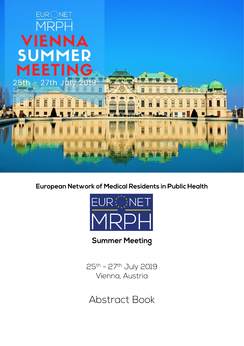

European Network of Medical Residents in Public Health



**Summer Meeting** 

25th - 27th July 2019 Vienna, Austria

**Abstract Book**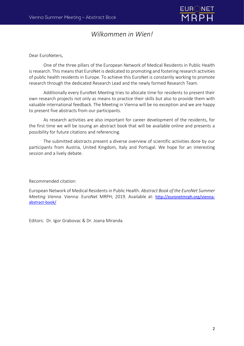

# *Wilkommen in Wien!*

Dear EuroNeters,

One of the three pillars of the European Network of Medical Residents in Public Health is research. This means that EuroNet is dedicated to promoting and fostering research activities of public health residents in Europe. To achieve this EuroNet is constantly working to promote research through the dedicated Research Lead and the newly formed Research Team.

Additionally every EuroNet Meeting tries to allocate time for residents to present their own research projects not only as means to practice their skills but also to provide them with valuable international feedback. The Meeting in Vienna will be no exception and we are happy to present five abstracts from our participants.

As research activities are also important for career development of the residents, for the first time we will be issuing an abstract book that will be available online and presents a possibility for future citations and referencing.

The submitted abstracts present a diverse overview of scientific activities done by our participants from Austria, United Kingdom, Italy and Portugal. We hope for an interesting session and a lively debate.

Recommended citation:

European Network of Medical Residentsin Public Health. *Abstract Book of the EuroNet Summer Meeting Vienna*. Vienna: EuroNet MRPH; 2019. Available at: [http://euronetmrph.org/vienna](http://euronetmrph.org/vienna-abstract-book/)[abstract-book/](http://euronetmrph.org/vienna-abstract-book/)

Editors: Dr. Igor Grabovac & Dr. Joana Miranda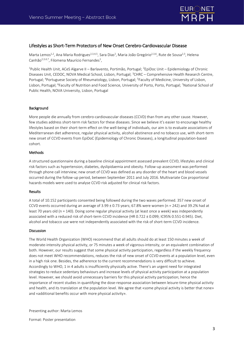

### Lifestyles as Short-Term Protectors of New Onset Cerebro-Cardiovascular Disease

Marta Lemos<sup>1,2</sup>, Ana Maria Rodrigues<sup>2,3,4,5</sup>, Sara Dias<sup>2</sup>, Maria João Gregório<sup>2,3,6</sup>, Rute de Sousa<sup>2,3</sup>, Helena Canhão<sup>2,3,4,7</sup>, Filomena Maurício Fernandes<sup>1</sup>,

<sup>1</sup>Public Health Unit, ACeS Algarve II – Barlavento, Portimão, Portugal; <sup>2</sup>EpiDoc Unit – Epidemiology of Chronic Diseases Unit, CEDOC, NOVA Medical School, Lisbon, Portugal; <sup>3</sup>CHRC – Comprehensive Health Research Centre, Portugal; <sup>4</sup>Portuguese Society of Rheumatology, Lisbon, Portugal; <sup>5</sup>Faculty of Medicine, University of Lisbon, Lisbon, Portugal; <sup>6</sup>Faculty of Nutrition and Food Science, University of Porto, Porto, Portugal; <sup>7</sup>National School of Public Health, NOVA University, Lisbon, Portugal

#### Background

More people die annually from cerebro-cardiovascular diseases (CCVD) than from any other cause. However, few studies address short-term risk factors for these diseases. Since we believe it's easier to encourage healthy lifestyles based on their short-term effect on the well-being of individuals, our aim is to evaluate associations of Mediterranean diet adherence, regular physical activity, alcohol abstinence and no tobacco use, with short-term new onset of CCVD events from EpiDoC (Epidemiology of Chronic Diseases), a longitudinal population-based cohort.

#### Methods

A structured questionnaire during a baseline clinical appointment assessed prevalent CCVD, lifestyles and clinical risk factors such as hypertension, diabetes, dyslipidaemia and obesity. Follow-up assessment was performed through phone call interview; new onset of CCVD was defined as any disorder of the heart and blood vessels occurred during the follow-up period, between September 2011 and July 2016. Multivariate Cox proportional hazards models were used to analyse CCVD risk adjusted for clinical risk factors.

#### Results

A total of 10.152 participants consented being followed during the two waves performed. 357 new onset of CCVD events occurred during an average of  $3.99 \pm 0.73$  years; 67.8% were women (n = 242) and 39.2% had at least 70 years old (n = 140). Doing some regular physical activity (at least once a week) was independently associated with a reduced risk of short-term CCVD incidence (HR 0.722 ± 0.099; IC95% 0.551-0.945). Diet, alcohol and tobacco use were not independently associated with the risk of short-term CCVD incidence.

#### Discussion

The World Health Organization (WHO) recommend that all adults should do at least 150 minutes a week of moderate-intensity physical activity, or 75 minutes a week of vigorous-intensity, or an equivalent combination of both. However, our results suggest that some physical activity participation, regardless if the weekly frequency does not meet WHO recommendations, reduces the risk of new onset of CCVD events at a population level, even in a high risk one. Besides, the adherence to the current recommendations is very difficult to achieve. Accordingly to WHO, 1 in 4 adults is insufficiently physically active. There's an urgent need for integrated strategies to reduce sedentary behaviours and increase levels of physical activity participation at a population level. However, we should avoid unnecessary barriers for this physical activity participation; hence the importance of recent studies in quantifying the dose-response association between leisure-time physical activity and health, and its translation at the population level. We agree that «some physical activity is better that none» and «additional benefits occur with more physical activity».

Presenting author: Marta Lemos

Format: Poster presentation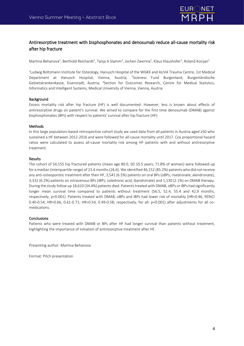

## Antiresorptive treatment with bisphosphonates and denosumab reduce all-cause mortality risk after hip fracture

Martina Behanova<sup>1</sup>, Berthold Reichardt<sup>2</sup>, Tanja A Stamm<sup>3</sup>, Jochen Zwerina<sup>1</sup>, Klaus Klaushofer<sup>1</sup>, Roland Kocijan<sup>1</sup>

<sup>1</sup>Ludwig Boltzmann Institute for Osteology, Hanusch Hospital of the WGKK and AUVA Trauma Centre, 1st Medical Department at Hanusch Hospital, Vienna, Austria; <sup>2</sup>Sickness Fund Burgenland, Burgenländische Gebietskrankenkasse, Eisenstadt, Austria; <sup>3</sup>Section for Outcomes Research, Centre for Medical Statistics, Informatics and Intelligent Systems, Medical University of Vienna, Vienna, Austria

#### Background

Excess mortality risk after hip fracture (HF) is well documented. However, less is known about effects of antiresorptive drugs on patient's survival. We aimed to compare for the first time denosumab (DMAB) against bisphosphonates (BPs) with respect to patients' survival after hip fracture (HF).

#### Methods

In this large population-based retrospective cohort study we used data from all patients in Austria aged ≥50 who sustained a HF between 2012-2016 and were followed for all-cause mortality until 2017. Cox proportional hazard ratios were calculated to assess all-cause mortality risk among HF patients with and without antiresorptive treatment.

#### Results

The cohort of 54,155 hip fractured patients (mean age 80.0, SD 10.5 years; 71.8% of women) were followed-up for a median (interquartile range) of 23.4 months (26.6). We identified 46,152 (85.2%) patients who did not receive any anti-osteoporotic treatment after their HF, 3,541 (6.5%) patients on oral BPs (oBPs; risedronate, alendronate), 3,332 (6.2%) patients on intravenous BPs (iBPs; zoledronic acid, ibandronate) and 1,130 (2.1%) on DMAB therapy. During the study follow up 18,610 (34.4%) patients died. Patients treated with DMAB, oBPs or iBPs had significantly longer mean survival time compared to patients without treatment (56.5, 52.4, 55.4 and 42.9 months, respectively, p<0.001). Patients treated with DMAB, oBPs and iBPs had lower risk of mortality (HR=0.46, 95%CI 0.40-0.54, HR=0.66, 0.61-0.71; HR=0.54, 0.49-0.58; respectively, for all: p<0.001) after adjustments for all comedications.

#### **Conclusions**

Patients who were treated with DMAB or BPs after HF had longer survival than patients without treatment, highlighting the importance of initiation of antiresorptive treatment after HF.

Presenting author: Martina Behanova

Format: Pitch presentation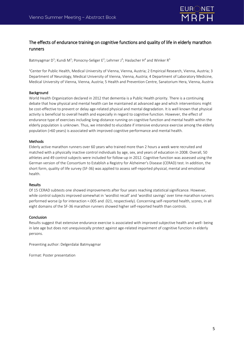

## The effects of endurance training on cognitive functions and quality of life in elderly marathon runners

Batmyagmar D<sup>1</sup>; Kundi M<sup>1</sup>; Ponocny-Seliger E<sup>2</sup>; Lehrner J<sup>3</sup>; Haslacher H<sup>4</sup> and Winker R<sup>5</sup>

<sup>1</sup>Center for Public Health, Medical University of Vienna, Vienna, Austria; 2 Empirical Research, Vienna, Austria; 3 Department of Neurology, Medical University of Vienna, Vienna, Austria; 4 Department of Laboratory Medicine, Medical University of Vienna, Vienna, Austria; 5 Health and Prevention Centre, Sanatorium Hera, Vienna, Austria

#### Background

World Health Organization declared in 2012 that dementia is a Public Health priority. There is a continuing debate that how physical and mental health can be maintained at advanced age and which interventions might be cost-effective to prevent or delay age-related physical and mental degradation. It is well known that physical activity is beneficial to overall health and especially in regard to cognitive function. However, the effect of endurance type of exercises including long-distance running on cognitive function and mental health within the elderly population is unknown. Thus, we intended to elucidate if intensive endurance exercise among the elderly population (>60 years) is associated with improved cognitive performance and mental health.

#### Methods

Elderly active marathon runners over 60 years who trained more than 2 hours a week were recruited and matched with a physically inactive control individuals by age, sex, and years of education in 2008. Overall, 50 athletes and 49 control subjects were included for follow-up in 2012. Cognitive function was assessed using the German version of the Consortium to Establish a Registry for Alzheimer's Disease (CERAD) test. In addition, the short form, quality of life survey (SF-36) was applied to assess self-reported physical, mental and emotional health.

#### **Results**

Of 15 CERAD subtests one showed improvements after four years reaching statistical significance. However, while control subjects improved somewhat in 'wordlist recall' and 'wordlist savings' over time marathon runners performed worse (p for interaction =.005 and .021, respectively). Concerning self-reported health, scores, in all eight domains of the SF-36 marathon runners showed higher self-reported health than controls.

#### Conclusion

Results suggest that extensive endurance exercise is associated with improved subjective health and well- being in late age but does not unequivocally protect against age-related impairment of cognitive function in elderly persons.

Presenting author: Delgerdalai Batmyagmar

Format: Poster presentation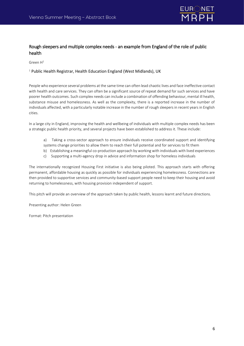

# Rough sleepers and multiple complex needs - an example from England of the role of public health

Green  $H^1$ 

<sup>1</sup> Public Health Registrar, Health Education England (West Midlands), UK

People who experience several problems at the same time can often lead chaotic lives and face ineffective contact with health and care services. They can often be a significant source of repeat demand for such services and have poorer health outcomes. Such complex needs can include a combination of offending behaviour, mental ill health, substance misuse and homelessness. As well as the complexity, there is a reported increase in the number of individuals affected, with a particularly notable increase in the number of rough sleepers in recent years in English cities.

In a large city in England, improving the health and wellbeing of individuals with multiple complex needs has been a strategic public health priority, and several projects have been established to address it. These include:

- a) Taking a cross-sector approach to ensure individuals receive coordinated support and identifying systems change priorities to allow them to reach their full potential and for services to fit them
- b) Establishing a meaningful co-production approach by working with individuals with lived experiences
- c) Supporting a multi-agency drop in advice and information shop for homeless individuals

The internationally recognized Housing First initiative is also being piloted. This approach starts with offering permanent, affordable housing as quickly as possible for individuals experiencing homelessness. Connections are then provided to supportive services and community-based support people need to keep their housing and avoid returning to homelessness, with housing provision independent of support.

This pitch will provide an overview of the approach taken by public health, lessons learnt and future directions.

Presenting author: Helen Green

Format: Pitch presentation